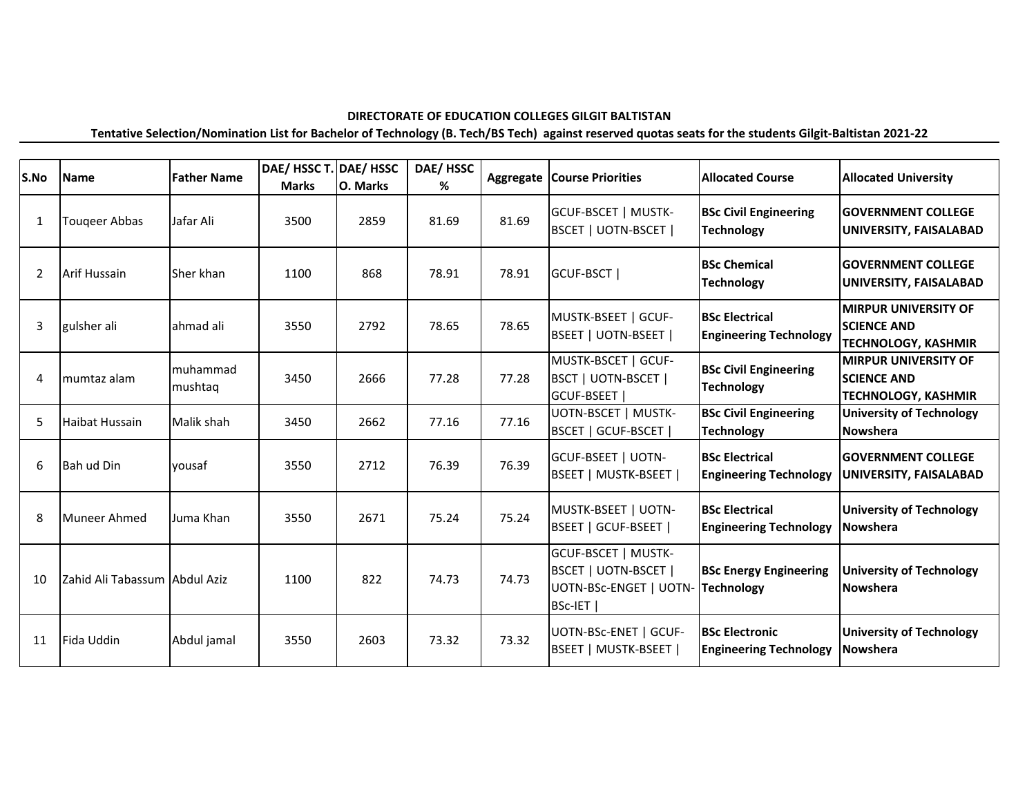## **DIRECTORATE OF EDUCATION COLLEGES GILGIT BALTISTAN**

**Tentative Selection/Nomination List for Bachelor of Technology (B. Tech/BS Tech) against reserved quotas seats for the students Gilgit-Baltistan 2021-22**

| S.No           | <b>Name</b>                    | <b>Father Name</b>  | DAE/ HSSC T. DAE/ HSSC<br><b>Marks</b> | O. Marks | DAE/HSSC<br>% | Aggregate | <b>Course Priorities</b>                                                                                  | <b>Allocated Course</b>                                | <b>Allocated University</b>                                                     |
|----------------|--------------------------------|---------------------|----------------------------------------|----------|---------------|-----------|-----------------------------------------------------------------------------------------------------------|--------------------------------------------------------|---------------------------------------------------------------------------------|
| 1              | Tougeer Abbas                  | Jafar Ali           | 3500                                   | 2859     | 81.69         | 81.69     | <b>GCUF-BSCET   MUSTK-</b><br><b>BSCET   UOTN-BSCET  </b>                                                 | <b>BSc Civil Engineering</b><br><b>Technology</b>      | <b>IGOVERNMENT COLLEGE</b><br>UNIVERSITY, FAISALABAD                            |
| $\overline{2}$ | <b>Arif Hussain</b>            | Sher khan           | 1100                                   | 868      | 78.91         | 78.91     | GCUF-BSCT                                                                                                 | <b>BSc Chemical</b><br><b>Technology</b>               | <b>IGOVERNMENT COLLEGE</b><br>UNIVERSITY, FAISALABAD                            |
| 3              | gulsher ali                    | ahmad ali           | 3550                                   | 2792     | 78.65         | 78.65     | MUSTK-BSEET   GCUF-<br>BSEET   UOTN-BSEET                                                                 | <b>BSc Electrical</b><br><b>Engineering Technology</b> | <b>MIRPUR UNIVERSITY OF</b><br><b>SCIENCE AND</b><br><b>TECHNOLOGY, KASHMIR</b> |
| 4              | mumtaz alam                    | muhammad<br>mushtaq | 3450                                   | 2666     | 77.28         | 77.28     | MUSTK-BSCET   GCUF-<br>BSCT   UOTN-BSCET  <br><b>GCUF-BSEET</b>                                           | <b>BSc Civil Engineering</b><br><b>Technology</b>      | <b>MIRPUR UNIVERSITY OF</b><br><b>SCIENCE AND</b><br><b>TECHNOLOGY, KASHMIR</b> |
| 5              | <b>Haibat Hussain</b>          | Malik shah          | 3450                                   | 2662     | 77.16         | 77.16     | UOTN-BSCET   MUSTK-<br><b>BSCET   GCUF-BSCET  </b>                                                        | <b>BSc Civil Engineering</b><br><b>Technology</b>      | <b>University of Technology</b><br><b>Nowshera</b>                              |
| 6              | Bah ud Din                     | vousaf              | 3550                                   | 2712     | 76.39         | 76.39     | <b>GCUF-BSEET   UOTN-</b><br>BSEET   MUSTK-BSEET                                                          | <b>BSc Electrical</b><br><b>Engineering Technology</b> | <b>IGOVERNMENT COLLEGE</b><br>UNIVERSITY, FAISALABAD                            |
| 8              | Muneer Ahmed                   | Juma Khan           | 3550                                   | 2671     | 75.24         | 75.24     | MUSTK-BSEET   UOTN-<br>BSEET   GCUF-BSEET                                                                 | <b>BSc Electrical</b><br><b>Engineering Technology</b> | <b>University of Technology</b><br><b>Nowshera</b>                              |
| 10             | Zahid Ali Tabassum lAbdul Aziz |                     | 1100                                   | 822      | 74.73         | 74.73     | <b>GCUF-BSCET   MUSTK-</b><br><b>BSCET   UOTN-BSCET  </b><br>UOTN-BSc-ENGET   UOTN- Technology<br>BSc-IET | <b>BSc Energy Engineering</b>                          | <b>University of Technology</b><br><b>Nowshera</b>                              |
| 11             | Fida Uddin                     | Abdul jamal         | 3550                                   | 2603     | 73.32         | 73.32     | UOTN-BSc-ENET   GCUF-<br><b>BSEET   MUSTK-BSEET  </b>                                                     | <b>BSc Electronic</b><br><b>Engineering Technology</b> | <b>University of Technology</b><br><b>Nowshera</b>                              |